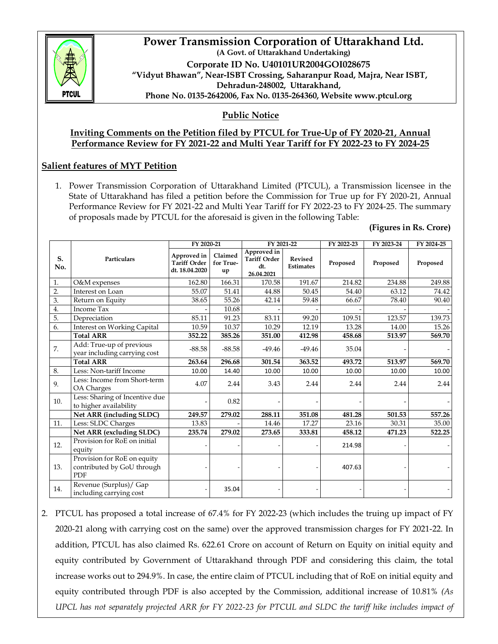

### **Power Transmission Corporation of Uttarakhand Ltd. (A Govt. of Uttarakhand Undertaking) Corporate ID No. U40101UR2004GOI028675 "Vidyut Bhawan", Near-ISBT Crossing, Saharanpur Road, Majra, Near ISBT, Dehradun-248002, Uttarakhand, Phone No. 0135-2642006, Fax No. 0135-264360, Website www.ptcul.org**

# **Public Notice**

### **Inviting Comments on the Petition filed by PTCUL for True-Up of FY 2020-21, Annual Performance Review for FY 2021-22 and Multi Year Tariff for FY 2022-23 to FY 2024-25**

# **Salient features of MYT Petition**

1. Power Transmission Corporation of Uttarakhand Limited (PTCUL), a Transmission licensee in the State of Uttarakhand has filed a petition before the Commission for True up for FY 2020-21, Annual Performance Review for FY 2021-22 and Multi Year Tariff for FY 2022-23 to FY 2024-25. The summary of proposals made by PTCUL for the aforesaid is given in the following Table:

#### **(Figures in Rs. Crore)**

|                  |                                                                         | FY 2020-21                                           |                            | FY 2021-22                                              |                                    | FY 2022-23 | FY 2023-24 | FY 2024-25 |
|------------------|-------------------------------------------------------------------------|------------------------------------------------------|----------------------------|---------------------------------------------------------|------------------------------------|------------|------------|------------|
| S.<br>No.        | Particulars                                                             | Approved in<br><b>Tariff Order</b><br>dt. 18.04.2020 | Claimed<br>for True-<br>up | Approved in<br><b>Tariff Order</b><br>dt.<br>26.04.2021 | <b>Revised</b><br><b>Estimates</b> | Proposed   | Proposed   | Proposed   |
| 1.               | O&M expenses                                                            | 162.80                                               | 166.31                     | 170.58                                                  | 191.67                             | 214.82     | 234.88     | 249.88     |
| $\overline{2}$ . | Interest on Loan                                                        | 55.07                                                | 51.41                      | 44.88                                                   | 50.45                              | 54.40      | 63.12      | 74.42      |
| 3.               | Return on Equity                                                        | 38.65                                                | 55.26                      | 42.14                                                   | 59.48                              | 66.67      | 78.40      | 90.40      |
| 4.               | <b>Income Tax</b>                                                       |                                                      | 10.68                      |                                                         |                                    |            |            |            |
| 5.               | Depreciation                                                            | 85.11                                                | 91.23                      | 83.11                                                   | 99.20                              | 109.51     | 123.57     | 139.73     |
| 6.               | <b>Interest on Working Capital</b>                                      | 10.59                                                | 10.37                      | 10.29                                                   | 12.19                              | 13.28      | 14.00      | 15.26      |
|                  | <b>Total ARR</b>                                                        | 352.22                                               | 385.26                     | 351.00                                                  | 412.98                             | 458.68     | 513.97     | 569.70     |
| 7.               | Add: True-up of previous<br>year including carrying cost                | $-88.58$                                             | $-88.58$                   | $-49.46$                                                | $-49.46$                           | 35.04      |            |            |
|                  | <b>Total ARR</b>                                                        | 263.64                                               | 296.68                     | 301.54                                                  | 363.52                             | 493.72     | 513.97     | 569.70     |
| 8.               | Less: Non-tariff Income                                                 | 10.00                                                | 14.40                      | 10.00                                                   | 10.00                              | 10.00      | 10.00      | 10.00      |
| 9.               | Less: Income from Short-term<br>OA Charges                              | 4.07                                                 | 2.44                       | 3.43                                                    | 2.44                               | 2.44       | 2.44       | 2.44       |
| 10.              | Less: Sharing of Incentive due<br>to higher availability                |                                                      | 0.82                       |                                                         |                                    |            |            |            |
|                  | Net ARR (including SLDC)                                                | 249.57                                               | 279.02                     | 288.11                                                  | 351.08                             | 481.28     | 501.53     | 557.26     |
| 11.              | Less: SLDC Charges                                                      | 13.83                                                |                            | 14.46                                                   | 17.27                              | 23.16      | 30.31      | 35.00      |
|                  | Net ARR (excluding SLDC)                                                | 235.74                                               | 279.02                     | 273.65                                                  | 333.81                             | 458.12     | 471.23     | 522.25     |
| 12.              | Provision for RoE on initial<br>equity                                  |                                                      |                            |                                                         |                                    | 214.98     |            |            |
| 13.              | Provision for RoE on equity<br>contributed by GoU through<br><b>PDF</b> |                                                      |                            |                                                         |                                    | 407.63     |            |            |
| 14.              | Revenue (Surplus) / Gap<br>including carrying cost                      |                                                      | 35.04                      |                                                         |                                    |            |            |            |

2. PTCUL has proposed a total increase of 67.4% for FY 2022-23 (which includes the truing up impact of FY 2020-21 along with carrying cost on the same) over the approved transmission charges for FY 2021-22. In addition, PTCUL has also claimed Rs. 622.61 Crore on account of Return on Equity on initial equity and equity contributed by Government of Uttarakhand through PDF and considering this claim, the total increase works out to 294.9%. In case, the entire claim of PTCUL including that of RoE on initial equity and equity contributed through PDF is also accepted by the Commission, additional increase of 10.81% *(As UPCL has not separately projected ARR for FY 2022-23 for PTCUL and SLDC the tariff hike includes impact of*